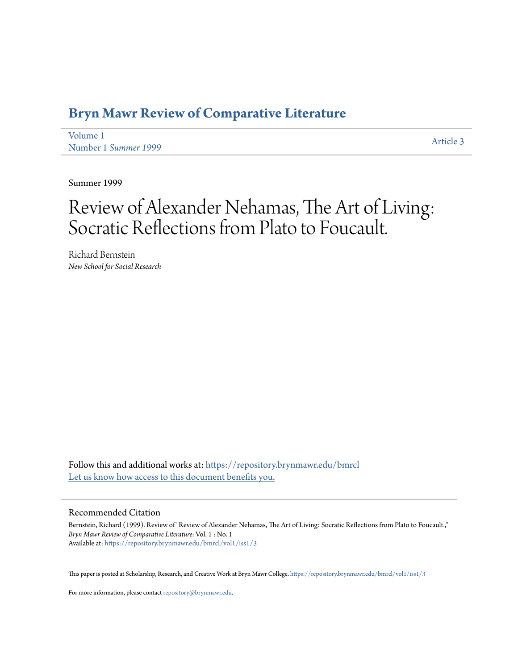## **[Bryn Mawr Review of Comparative Literature](https://repository.brynmawr.edu/bmrcl?utm_source=repository.brynmawr.edu%2Fbmrcl%2Fvol1%2Fiss1%2F3&utm_medium=PDF&utm_campaign=PDFCoverPages)**

[Volume 1](https://repository.brynmawr.edu/bmrcl/vol1?utm_source=repository.brynmawr.edu%2Fbmrcl%2Fvol1%2Fiss1%2F3&utm_medium=PDF&utm_campaign=PDFCoverPages) Number 1 *[Summer 1999](https://repository.brynmawr.edu/bmrcl/vol1/iss1?utm_source=repository.brynmawr.edu%2Fbmrcl%2Fvol1%2Fiss1%2F3&utm_medium=PDF&utm_campaign=PDFCoverPages)* [Article 3](https://repository.brynmawr.edu/bmrcl/vol1/iss1/3?utm_source=repository.brynmawr.edu%2Fbmrcl%2Fvol1%2Fiss1%2F3&utm_medium=PDF&utm_campaign=PDFCoverPages)

Summer 1999

# Review of Alexander Nehamas, The Art of Living: Socratic Reflections from Plato to Foucault.

Richard Bernstein *New School for Social Research*

Follow this and additional works at: [https://repository.brynmawr.edu/bmrcl](https://repository.brynmawr.edu/bmrcl?utm_source=repository.brynmawr.edu%2Fbmrcl%2Fvol1%2Fiss1%2F3&utm_medium=PDF&utm_campaign=PDFCoverPages) [Let us know how access to this document benefits you.](http://repository.brynmawr.edu/open-access-feedback.html)

#### Recommended Citation

Bernstein, Richard (1999). Review of "Review of Alexander Nehamas, The Art of Living: Socratic Reflections from Plato to Foucault.," *Bryn Mawr Review of Comparative Literature*: Vol. 1 : No. 1 Available at: [https://repository.brynmawr.edu/bmrcl/vol1/iss1/3](https://repository.brynmawr.edu/bmrcl/vol1/iss1/3?utm_source=repository.brynmawr.edu%2Fbmrcl%2Fvol1%2Fiss1%2F3&utm_medium=PDF&utm_campaign=PDFCoverPages)

This paper is posted at Scholarship, Research, and Creative Work at Bryn Mawr College. <https://repository.brynmawr.edu/bmrcl/vol1/iss1/3>

For more information, please contact [repository@brynmawr.edu](mailto:repository@brynmawr.edu).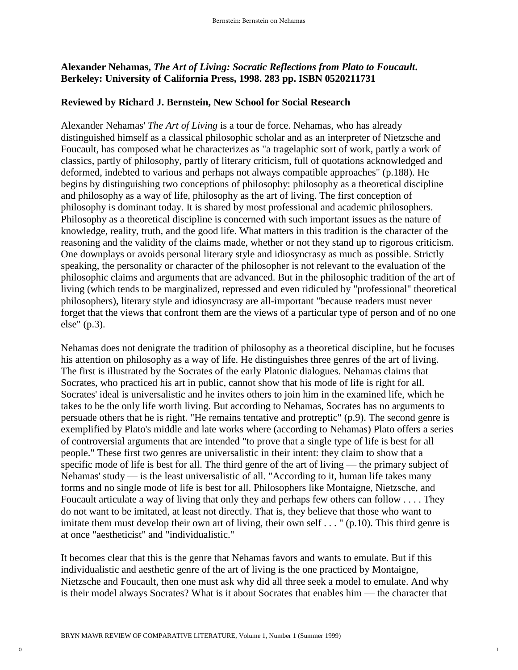### **Alexander Nehamas,** *The Art of Living: Socratic Reflections from Plato to Foucault***. Berkeley: University of California Press, 1998. 283 pp. ISBN 0520211731**

#### **Reviewed by Richard J. Bernstein, New School for Social Research**

Alexander Nehamas' *The Art of Living* is a tour de force. Nehamas, who has already distinguished himself as a classical philosophic scholar and as an interpreter of Nietzsche and Foucault, has composed what he characterizes as "a tragelaphic sort of work, partly a work of classics, partly of philosophy, partly of literary criticism, full of quotations acknowledged and deformed, indebted to various and perhaps not always compatible approaches" (p.188). He begins by distinguishing two conceptions of philosophy: philosophy as a theoretical discipline and philosophy as a way of life, philosophy as the art of living. The first conception of philosophy is dominant today. It is shared by most professional and academic philosophers. Philosophy as a theoretical discipline is concerned with such important issues as the nature of knowledge, reality, truth, and the good life. What matters in this tradition is the character of the reasoning and the validity of the claims made, whether or not they stand up to rigorous criticism. One downplays or avoids personal literary style and idiosyncrasy as much as possible. Strictly speaking, the personality or character of the philosopher is not relevant to the evaluation of the philosophic claims and arguments that are advanced. But in the philosophic tradition of the art of living (which tends to be marginalized, repressed and even ridiculed by "professional" theoretical philosophers), literary style and idiosyncrasy are all-important "because readers must never forget that the views that confront them are the views of a particular type of person and of no one else" (p.3).

Nehamas does not denigrate the tradition of philosophy as a theoretical discipline, but he focuses his attention on philosophy as a way of life. He distinguishes three genres of the art of living. The first is illustrated by the Socrates of the early Platonic dialogues. Nehamas claims that Socrates, who practiced his art in public, cannot show that his mode of life is right for all. Socrates' ideal is universalistic and he invites others to join him in the examined life, which he takes to be the only life worth living. But according to Nehamas, Socrates has no arguments to persuade others that he is right. "He remains tentative and protreptic" (p.9). The second genre is exemplified by Plato's middle and late works where (according to Nehamas) Plato offers a series of controversial arguments that are intended "to prove that a single type of life is best for all people." These first two genres are universalistic in their intent: they claim to show that a specific mode of life is best for all. The third genre of the art of living — the primary subject of Nehamas' study — is the least universalistic of all. "According to it, human life takes many forms and no single mode of life is best for all. Philosophers like Montaigne, Nietzsche, and Foucault articulate a way of living that only they and perhaps few others can follow . . . . They do not want to be imitated, at least not directly. That is, they believe that those who want to imitate them must develop their own art of living, their own self . . . " (p.10). This third genre is at once "aestheticist" and "individualistic."

It becomes clear that this is the genre that Nehamas favors and wants to emulate. But if this individualistic and aesthetic genre of the art of living is the one practiced by Montaigne, Nietzsche and Foucault, then one must ask why did all three seek a model to emulate. And why is their model always Socrates? What is it about Socrates that enables him — the character that

1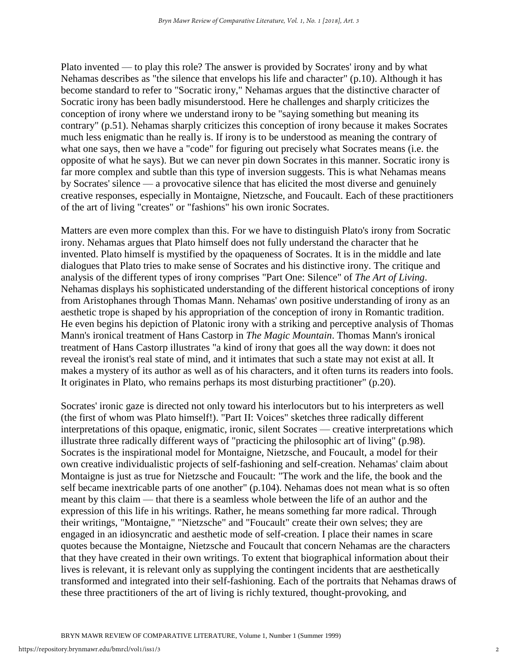Plato invented — to play this role? The answer is provided by Socrates' irony and by what Nehamas describes as "the silence that envelops his life and character" (p.10). Although it has become standard to refer to "Socratic irony," Nehamas argues that the distinctive character of Socratic irony has been badly misunderstood. Here he challenges and sharply criticizes the conception of irony where we understand irony to be "saying something but meaning its contrary" (p.51). Nehamas sharply criticizes this conception of irony because it makes Socrates much less enigmatic than he really is. If irony is to be understood as meaning the contrary of what one says, then we have a "code" for figuring out precisely what Socrates means (i.e. the opposite of what he says). But we can never pin down Socrates in this manner. Socratic irony is far more complex and subtle than this type of inversion suggests. This is what Nehamas means by Socrates' silence — a provocative silence that has elicited the most diverse and genuinely creative responses, especially in Montaigne, Nietzsche, and Foucault. Each of these practitioners of the art of living "creates" or "fashions" his own ironic Socrates.

Matters are even more complex than this. For we have to distinguish Plato's irony from Socratic irony. Nehamas argues that Plato himself does not fully understand the character that he invented. Plato himself is mystified by the opaqueness of Socrates. It is in the middle and late dialogues that Plato tries to make sense of Socrates and his distinctive irony. The critique and analysis of the different types of irony comprises "Part One: Silence" of *The Art of Living*. Nehamas displays his sophisticated understanding of the different historical conceptions of irony from Aristophanes through Thomas Mann. Nehamas' own positive understanding of irony as an aesthetic trope is shaped by his appropriation of the conception of irony in Romantic tradition. He even begins his depiction of Platonic irony with a striking and perceptive analysis of Thomas Mann's ironical treatment of Hans Castorp in *The Magic Mountain*. Thomas Mann's ironical treatment of Hans Castorp illustrates "a kind of irony that goes all the way down: it does not reveal the ironist's real state of mind, and it intimates that such a state may not exist at all. It makes a mystery of its author as well as of his characters, and it often turns its readers into fools. It originates in Plato, who remains perhaps its most disturbing practitioner" (p.20).

Socrates' ironic gaze is directed not only toward his interlocutors but to his interpreters as well (the first of whom was Plato himself!). "Part II: Voices" sketches three radically different interpretations of this opaque, enigmatic, ironic, silent Socrates — creative interpretations which illustrate three radically different ways of "practicing the philosophic art of living" (p.98). Socrates is the inspirational model for Montaigne, Nietzsche, and Foucault, a model for their own creative individualistic projects of self-fashioning and self-creation. Nehamas' claim about Montaigne is just as true for Nietzsche and Foucault: "The work and the life, the book and the self became inextricable parts of one another" (p.104). Nehamas does not mean what is so often meant by this claim — that there is a seamless whole between the life of an author and the expression of this life in his writings. Rather, he means something far more radical. Through their writings, "Montaigne," "Nietzsche" and "Foucault" create their own selves; they are engaged in an idiosyncratic and aesthetic mode of self-creation. I place their names in scare quotes because the Montaigne, Nietzsche and Foucault that concern Nehamas are the characters that they have created in their own writings. To extent that biographical information about their lives is relevant, it is relevant only as supplying the contingent incidents that are aesthetically transformed and integrated into their self-fashioning. Each of the portraits that Nehamas draws of these three practitioners of the art of living is richly textured, thought-provoking, and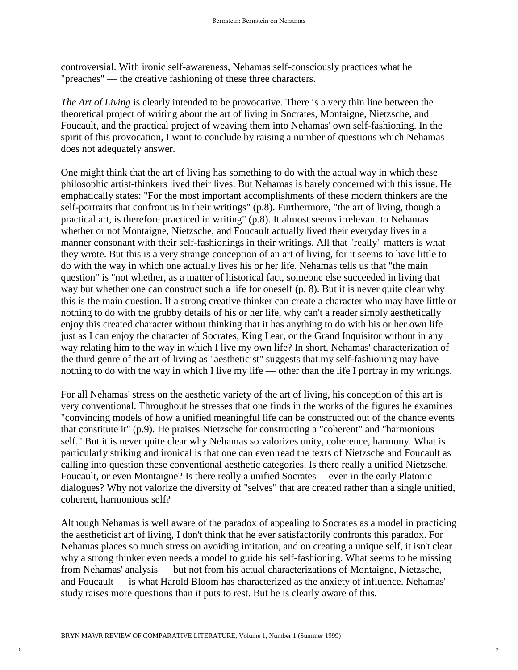controversial. With ironic self-awareness, Nehamas self-consciously practices what he "preaches" — the creative fashioning of these three characters.

*The Art of Living* is clearly intended to be provocative. There is a very thin line between the theoretical project of writing about the art of living in Socrates, Montaigne, Nietzsche, and Foucault, and the practical project of weaving them into Nehamas' own self-fashioning. In the spirit of this provocation, I want to conclude by raising a number of questions which Nehamas does not adequately answer.

One might think that the art of living has something to do with the actual way in which these philosophic artist-thinkers lived their lives. But Nehamas is barely concerned with this issue. He emphatically states: "For the most important accomplishments of these modern thinkers are the self-portraits that confront us in their writings" (p.8). Furthermore, "the art of living, though a practical art, is therefore practiced in writing" (p.8). It almost seems irrelevant to Nehamas whether or not Montaigne, Nietzsche, and Foucault actually lived their everyday lives in a manner consonant with their self-fashionings in their writings. All that "really" matters is what they wrote. But this is a very strange conception of an art of living, for it seems to have little to do with the way in which one actually lives his or her life. Nehamas tells us that "the main question" is "not whether, as a matter of historical fact, someone else succeeded in living that way but whether one can construct such a life for oneself (p. 8). But it is never quite clear why this is the main question. If a strong creative thinker can create a character who may have little or nothing to do with the grubby details of his or her life, why can't a reader simply aesthetically enjoy this created character without thinking that it has anything to do with his or her own life just as I can enjoy the character of Socrates, King Lear, or the Grand Inquisitor without in any way relating him to the way in which I live my own life? In short, Nehamas' characterization of the third genre of the art of living as "aestheticist" suggests that my self-fashioning may have nothing to do with the way in which I live my life — other than the life I portray in my writings.

For all Nehamas' stress on the aesthetic variety of the art of living, his conception of this art is very conventional. Throughout he stresses that one finds in the works of the figures he examines "convincing models of how a unified meaningful life can be constructed out of the chance events that constitute it" (p.9). He praises Nietzsche for constructing a "coherent" and "harmonious self." But it is never quite clear why Nehamas so valorizes unity, coherence, harmony. What is particularly striking and ironical is that one can even read the texts of Nietzsche and Foucault as calling into question these conventional aesthetic categories. Is there really a unified Nietzsche, Foucault, or even Montaigne? Is there really a unified Socrates —even in the early Platonic dialogues? Why not valorize the diversity of "selves" that are created rather than a single unified, coherent, harmonious self?

Although Nehamas is well aware of the paradox of appealing to Socrates as a model in practicing the aestheticist art of living, I don't think that he ever satisfactorily confronts this paradox. For Nehamas places so much stress on avoiding imitation, and on creating a unique self, it isn't clear why a strong thinker even needs a model to guide his self-fashioning. What seems to be missing from Nehamas' analysis — but not from his actual characterizations of Montaigne, Nietzsche, and Foucault — is what Harold Bloom has characterized as the anxiety of influence. Nehamas' study raises more questions than it puts to rest. But he is clearly aware of this.